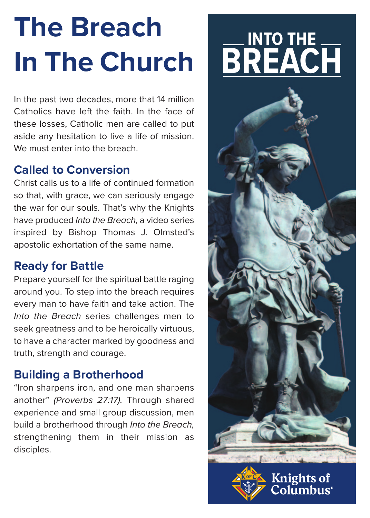## **The Breach In The Church**

In the past two decades, more that 14 million Catholics have left the faith. In the face of these losses, Catholic men are called to put aside any hesitation to live a life of mission. We must enter into the breach.

#### **Called to Conversion**

Christ calls us to a life of continued formation so that, with grace, we can seriously engage the war for our souls. That's why the Knights have produced Into the Breach, a video series inspired by Bishop Thomas J. Olmsted's apostolic exhortation of the same name.

#### **Ready for Battle**

Prepare yourself for the spiritual battle raging around you. To step into the breach requires every man to have faith and take action. The Into the Breach series challenges men to seek greatness and to be heroically virtuous, to have a character marked by goodness and truth, strength and courage.

#### **Building a Brotherhood**

"Iron sharpens iron, and one man sharpens another" (Proverbs 27:17). Through shared experience and small group discussion, men build a brotherhood through Into the Breach, strengthening them in their mission as disciples.

### **INTO THE BREACH**